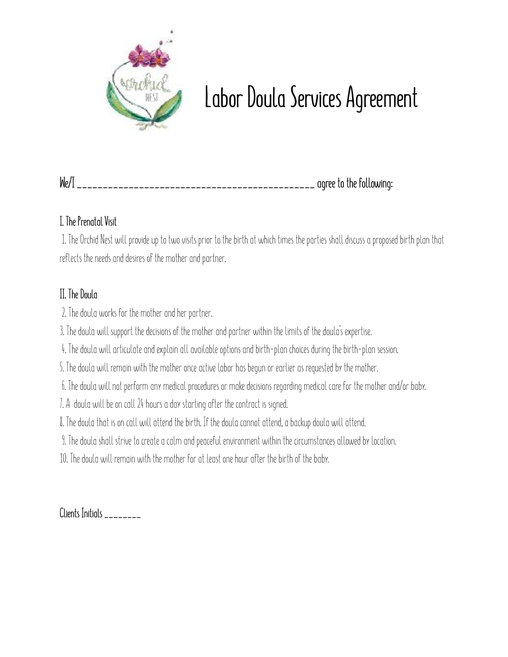

# **Labor Doula Services Agreement**

| We, | $\Box$ orpp $\Box$ | inp i |
|-----|--------------------|-------|
|-----|--------------------|-------|

#### **I. The Prenatal Visit**

 1. The Orchid Nest will provide up to two visits prior to the birth at which times the parties shall discuss a proposed birth plan that reflects the needs and desires of the mother and partner.

#### **II. The Doula**

2. The doula works for the mother and her partner.

3. The doula will support the decisions of the mother and partner within the limits of the doula's expertise.

4. The doula will articulate and explain all available options and birth-plan choices during the birth-plan session.

5. The doula will remain with the mother once active labor has begun or earlier as requested by the mother.

6. The doula will not perform any medical procedures or make decisions regarding medical care for the mother and/or baby.

7. A doula will be on call 24 hours a day starting after the contract is signed.

8. The doula that is on call will attend the birth. If the doula cannot attend, a backup doula will attend.

9. The doula shall strive to create a calm and peaceful environment within the circumstances allowed by location.

10. The doula will remain with the mother for at least one hour after the birth of the baby.

**Clients Initials \_\_\_\_\_\_\_\_**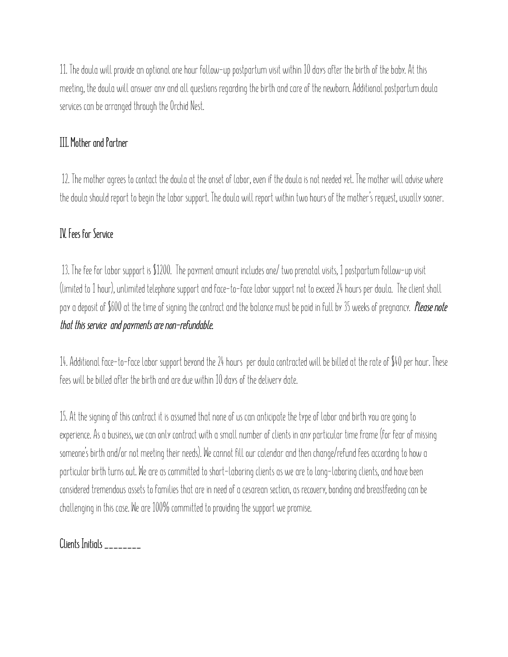11. The doula will provide an optional one hour follow-up postpartum visit within 10 days after the birth of the baby. At this meeting, the doula will answer any and all questions regarding the birth and care of the newborn. Additional postpartum doula services can be arranged through the Orchid Nest.

#### **III. Mother and Partner**

 12. The mother agrees to contact the doula at the onset of labor, even if the doula is not needed yet. The mother will advise where the doula should report to begin the labor support. The doula will report within two hours of the mother's request, usually sooner.

#### **IV. Fees for Service**

 13. The fee for labor support is \$1200. The payment amount includes one/ two prenatal visits, 1 postpartum follow-up visit (limited to 1 hour), unlimited telephone support and face-to-face labor support not to exceed 24 hours per doula. The client shall pay a deposit of \$600 at the time of signing the contract and the balance must be paid in full by 35 weeks of pregnancy. *Please note that this service and payments are non-refundable.* 

14. Additional face-to-face labor support beyond the 24 hours per doula contracted will be billed at the rate of \$40 per hour. These fees will be billed after the birth and are due within 10 days of the delivery date.

15. At the signing of this contract it is assumed that none of us can anticipate the type of labor and birth you are going to experience. As a business, we can only contract with a small number of clients in any particular time frame (for fear of missing someone's birth and/or not meeting their needs). We cannot fill our calendar and then change/refund fees according to how a particular birth turns out. We are as committed to short-laboring clients as we are to long-laboring clients, and have been considered tremendous assets to families that are in need of a cesarean section, as recovery, bonding and breastfeeding can be challenging in this case. We are 100% committed to providing the support we promise.

**Clients Initials \_\_\_\_\_\_\_\_**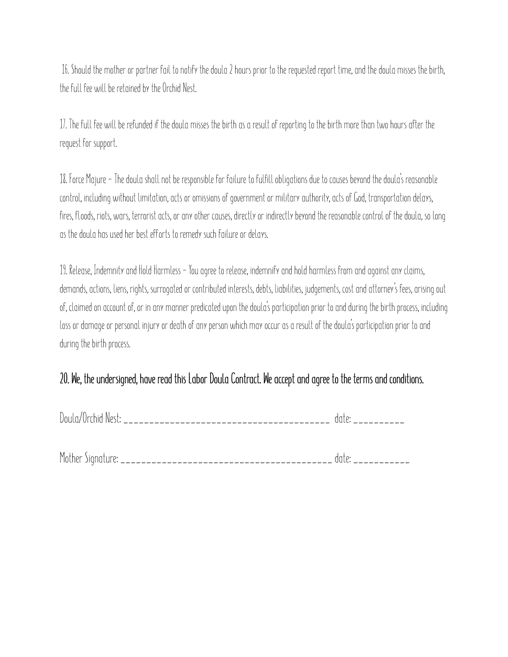16. Should the mother or partner fail to notify the doula 2 hours prior to the requested report time, and the doula misses the birth, the full fee will be retained by the Orchid Nest.

17. The full fee will be refunded if the doula misses the birth as a result of reporting to the birth more than two hours after the request for support.

18. Force Majure - The doula shall not be responsible for failure to fulfill obligations due to causes beyond the doula's reasonable control, including without limitation, acts or omissions of government or military authority, acts of God, transportation delays, fires, floods, riots, wars, terrorist acts, or any other causes, directly or indirectly beyond the reasonable control of the doula, so long as the doula has used her best efforts to remedy such failure or delays.

19. Release, Indemnity and Hold Harmless - You agree to release, indemnify and hold harmless from and against any claims, demands, actions, liens, rights, surrogated or contributed interests, debts, liabilities, judgements, cost and attorney's fees, arising out of, claimed on account of, or in any manner predicated upon the doula's participation prior to and during the birth process, including loss or damage or personal injury or death of any person which may occur as a result of the doula's participation prior to and during the birth process.

#### **20. We, the undersigned, have read this Labor Doula Contract. We accept and agree to the terms and conditions.**

| VOL<br>1 M H<br>______________________<br>___ | uu u |
|-----------------------------------------------|------|
|-----------------------------------------------|------|

Mother Signature: \_\_\_\_\_\_\_\_\_\_\_\_\_\_\_\_\_\_\_\_\_\_\_\_\_\_\_\_\_\_\_\_\_\_\_\_\_\_\_\_\_ date: \_\_\_\_\_\_\_\_\_\_\_